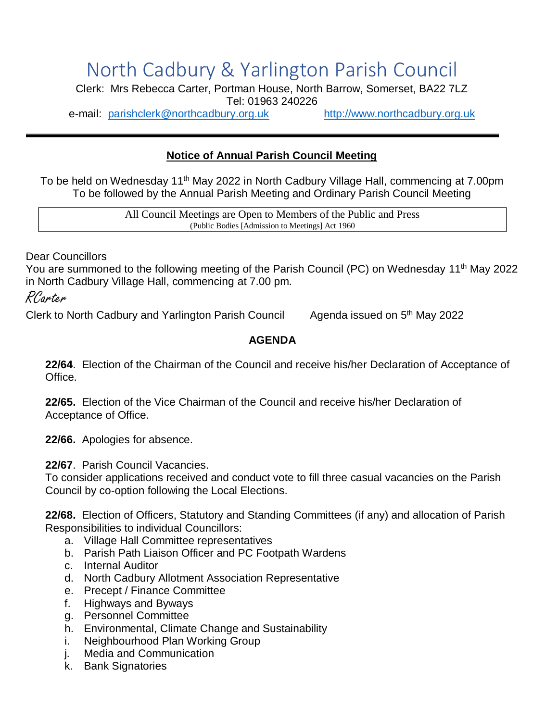## North Cadbury & Yarlington Parish Council

Clerk: Mrs Rebecca Carter, Portman House, North Barrow, Somerset, BA22 7LZ Tel: 01963 240226

e-mail: [parishclerk@northcadbury.org.uk](mailto:parishclerk@northcadbury.org.uk) [http://www.northcadbury.org.uk](http://www.northcadbury.org.uk/)

## **Notice of Annual Parish Council Meeting**

To be held on Wednesday 11<sup>th</sup> May 2022 in North Cadbury Village Hall, commencing at 7.00pm To be followed by the Annual Parish Meeting and Ordinary Parish Council Meeting

> All Council Meetings are Open to Members of the Public and Press (Public Bodies [Admission to Meetings] Act 1960

Dear Councillors

You are summoned to the following meeting of the Parish Council (PC) on Wednesday 11<sup>th</sup> May 2022 in North Cadbury Village Hall, commencing at 7.00 pm.

RCarter

Clerk to North Cadbury and Yarlington Parish Council

Agenda issued on 5<sup>th</sup> May 2022

## **AGENDA**

**22/64**. Election of the Chairman of the Council and receive his/her Declaration of Acceptance of Office.

**22/65.** Election of the Vice Chairman of the Council and receive his/her Declaration of Acceptance of Office.

**22/66.** Apologies for absence.

**22/67**. Parish Council Vacancies.

To consider applications received and conduct vote to fill three casual vacancies on the Parish Council by co-option following the Local Elections.

**22/68.** Election of Officers, Statutory and Standing Committees (if any) and allocation of Parish Responsibilities to individual Councillors:

- a. Village Hall Committee representatives
- b. Parish Path Liaison Officer and PC Footpath Wardens
- c. Internal Auditor
- d. North Cadbury Allotment Association Representative
- e. Precept / Finance Committee
- f. Highways and Byways
- g. Personnel Committee
- h. Environmental, Climate Change and Sustainability
- i. Neighbourhood Plan Working Group
- j. Media and Communication
- k. Bank Signatories